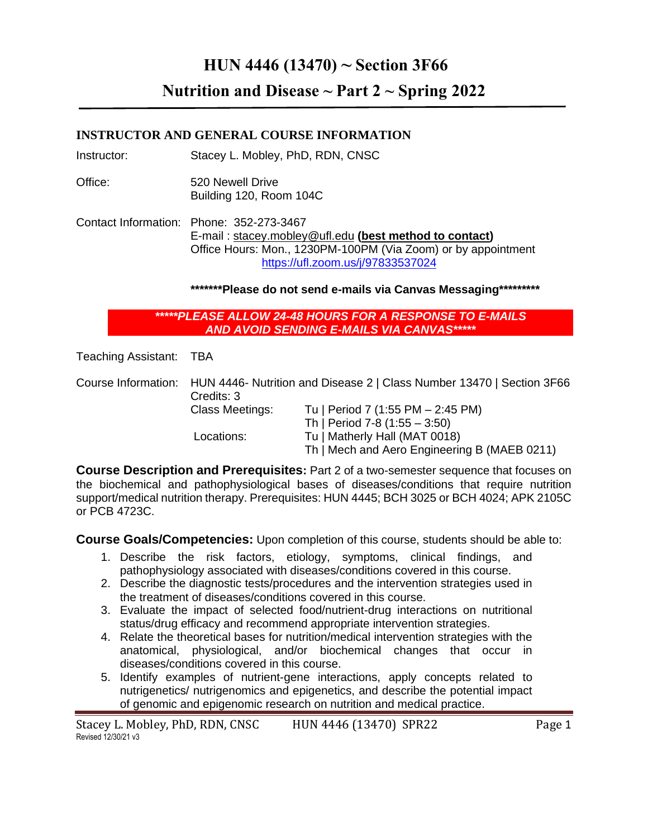# **HUN 4446 (13470) ~ Section 3F66**

**Nutrition and Disease ~ Part 2 ~ Spring 2022**

## **INSTRUCTOR AND GENERAL COURSE INFORMATION**

Instructor: Stacey L. Mobley, PhD, RDN, CNSC

Office: 520 Newell Drive Building 120, Room 104C

Contact Information: Phone: 352-273-3467 E-mail : [stacey.mobley@ufl.edu](mailto:stacey.mobley@ufl.edu) **(best method to contact)** Office Hours: Mon., 1230PM-100PM (Via Zoom) or by appointment <https://ufl.zoom.us/j/97833537024>

**\*\*\*\*\*\*\*Please do not send e-mails via Canvas Messaging\*\*\*\*\*\*\*\*\***

*\*\*\*\*\*PLEASE ALLOW 24-48 HOURS FOR A RESPONSE TO E-MAILS AND AVOID SENDING E-MAILS VIA CANVAS\*\*\*\*\**

Teaching Assistant: TBA

Course Information: HUN 4446- Nutrition and Disease 2 | Class Number 13470 | Section 3F66 Credits: 3 Class Meetings: Tu | Period 7 (1:55 PM – 2:45 PM) Th | Period 7-8 (1:55 – 3:50) Locations: Tu | Matherly Hall (MAT 0018) Th | Mech and Aero Engineering B (MAEB 0211)

**Course Description and Prerequisites:** Part 2 of a two-semester sequence that focuses on the biochemical and pathophysiological bases of diseases/conditions that require nutrition support/medical nutrition therapy. Prerequisites: HUN 4445; BCH 3025 or BCH 4024; APK 2105C or PCB 4723C.

**Course Goals/Competencies:** Upon completion of this course, students should be able to:

- 1. Describe the risk factors, etiology, symptoms, clinical findings, and pathophysiology associated with diseases/conditions covered in this course.
- 2. Describe the diagnostic tests/procedures and the intervention strategies used in the treatment of diseases/conditions covered in this course.
- 3. Evaluate the impact of selected food/nutrient-drug interactions on nutritional status/drug efficacy and recommend appropriate intervention strategies.
- 4. Relate the theoretical bases for nutrition/medical intervention strategies with the anatomical, physiological, and/or biochemical changes that occur in diseases/conditions covered in this course.
- 5. Identify examples of nutrient-gene interactions, apply concepts related to nutrigenetics/ nutrigenomics and epigenetics, and describe the potential impact of genomic and epigenomic research on nutrition and medical practice.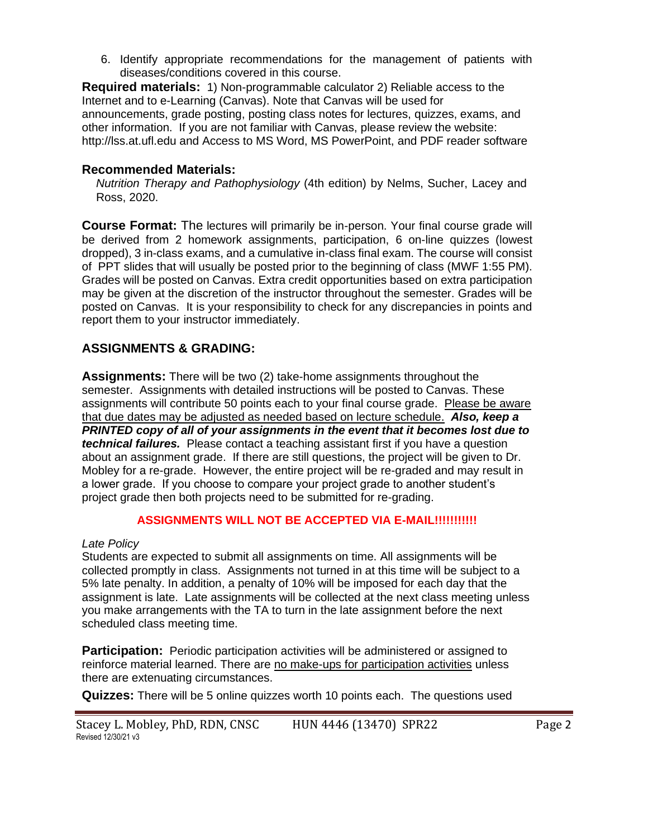6. Identify appropriate recommendations for the management of patients with diseases/conditions covered in this course.

**Required materials:** 1) Non-programmable calculator 2) Reliable access to the Internet and to e-Learning (Canvas). Note that Canvas will be used for announcements, grade posting, posting class notes for lectures, quizzes, exams, and other information. If you are not familiar with Canvas, please review the website: http://lss.at.ufl.edu and Access to MS Word, MS PowerPoint, and PDF reader software

## **Recommended Materials:**

*Nutrition Therapy and Pathophysiology* (4th edition) by Nelms, Sucher, Lacey and Ross, 2020.

**Course Format:** The lectures will primarily be in-person. Your final course grade will be derived from 2 homework assignments, participation, 6 on-line quizzes (lowest dropped), 3 in-class exams, and a cumulative in-class final exam. The course will consist of PPT slides that will usually be posted prior to the beginning of class (MWF 1:55 PM). Grades will be posted on Canvas. Extra credit opportunities based on extra participation may be given at the discretion of the instructor throughout the semester. Grades will be posted on Canvas. It is your responsibility to check for any discrepancies in points and report them to your instructor immediately.

## **ASSIGNMENTS & GRADING:**

**Assignments:** There will be two (2) take-home assignments throughout the semester. Assignments with detailed instructions will be posted to Canvas. These assignments will contribute 50 points each to your final course grade. Please be aware that due dates may be adjusted as needed based on lecture schedule. *Also, keep a PRINTED copy of all of your assignments in the event that it becomes lost due to technical failures.* Please contact a teaching assistant first if you have a question about an assignment grade. If there are still questions, the project will be given to Dr. Mobley for a re-grade. However, the entire project will be re-graded and may result in a lower grade. If you choose to compare your project grade to another student's project grade then both projects need to be submitted for re-grading.

## **ASSIGNMENTS WILL NOT BE ACCEPTED VIA E-MAIL!!!!!!!!!!!**

## *Late Policy*

Students are expected to submit all assignments on time. All assignments will be collected promptly in class. Assignments not turned in at this time will be subject to a 5% late penalty. In addition, a penalty of 10% will be imposed for each day that the assignment is late. Late assignments will be collected at the next class meeting unless you make arrangements with the TA to turn in the late assignment before the next scheduled class meeting time.

**Participation:** Periodic participation activities will be administered or assigned to reinforce material learned. There are no make-ups for participation activities unless there are extenuating circumstances.

**Quizzes:** There will be 5 online quizzes worth 10 points each. The questions used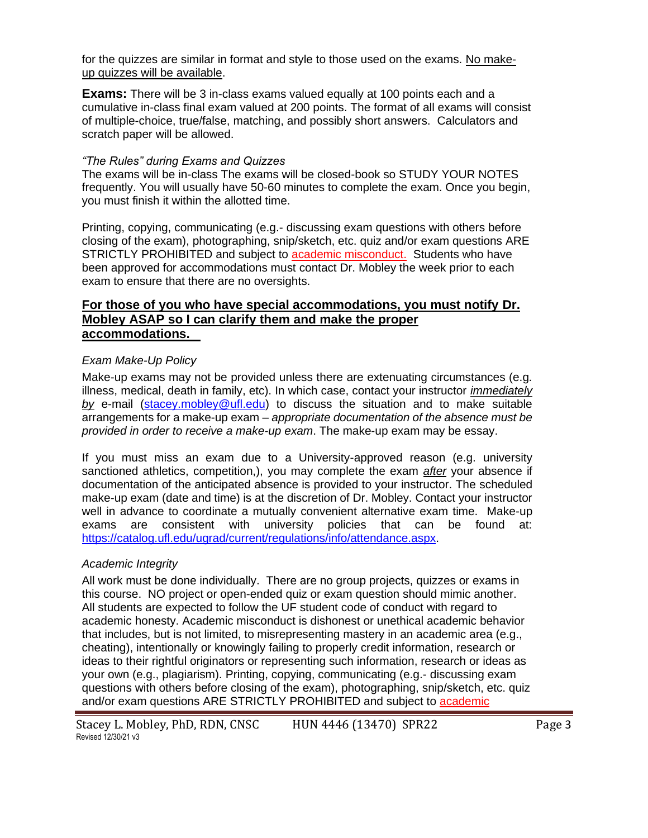for the quizzes are similar in format and style to those used on the exams. No makeup quizzes will be available.

**Exams:** There will be 3 in-class exams valued equally at 100 points each and a cumulative in-class final exam valued at 200 points. The format of all exams will consist of multiple-choice, true/false, matching, and possibly short answers. Calculators and scratch paper will be allowed.

#### *"The Rules" during Exams and Quizzes*

The exams will be in-class The exams will be closed-book so STUDY YOUR NOTES frequently. You will usually have 50-60 minutes to complete the exam. Once you begin, you must finish it within the allotted time.

Printing, copying, communicating (e.g.- discussing exam questions with others before closing of the exam), photographing, snip/sketch, etc. quiz and/or exam questions ARE STRICTLY PROHIBITED and subject to academic misconduct. Students who have been approved for accommodations must contact Dr. Mobley the week prior to each exam to ensure that there are no oversights.

## **For those of you who have special accommodations, you must notify Dr. Mobley ASAP so I can clarify them and make the proper accommodations.**

#### *Exam Make-Up Policy*

Make-up exams may not be provided unless there are extenuating circumstances (e.g. illness, medical, death in family, etc). In which case, contact your instructor *immediately by* e-mail [\(stacey.mobley@ufl.edu\)](mailto:stacey.mobley@ufl.edu) to discuss the situation and to make suitable arrangements for a make-up exam – *appropriate documentation of the absence must be provided in order to receive a make-up exam*. The make-up exam may be essay.

If you must miss an exam due to a University-approved reason (e.g. university sanctioned athletics, competition,), you may complete the exam *after* your absence if documentation of the anticipated absence is provided to your instructor. The scheduled make-up exam (date and time) is at the discretion of Dr. Mobley. Contact your instructor well in advance to coordinate a mutually convenient alternative exam time. Make-up exams are consistent with university policies that can be found at: [https://catalog.ufl.edu/ugrad/current/regulations/info/attendance.aspx.](https://catalog.ufl.edu/ugrad/current/regulations/info/attendance.aspx)

#### *Academic Integrity*

All work must be done individually. There are no group projects, quizzes or exams in this course. NO project or open-ended quiz or exam question should mimic another. All students are expected to follow the UF student code of conduct with regard to academic honesty. Academic misconduct is dishonest or unethical academic behavior that includes, but is not limited, to misrepresenting mastery in an academic area (e.g., cheating), intentionally or knowingly failing to properly credit information, research or ideas to their rightful originators or representing such information, research or ideas as your own (e.g., plagiarism). Printing, copying, communicating (e.g.- discussing exam questions with others before closing of the exam), photographing, snip/sketch, etc. quiz and/or exam questions ARE STRICTLY PROHIBITED and subject to academic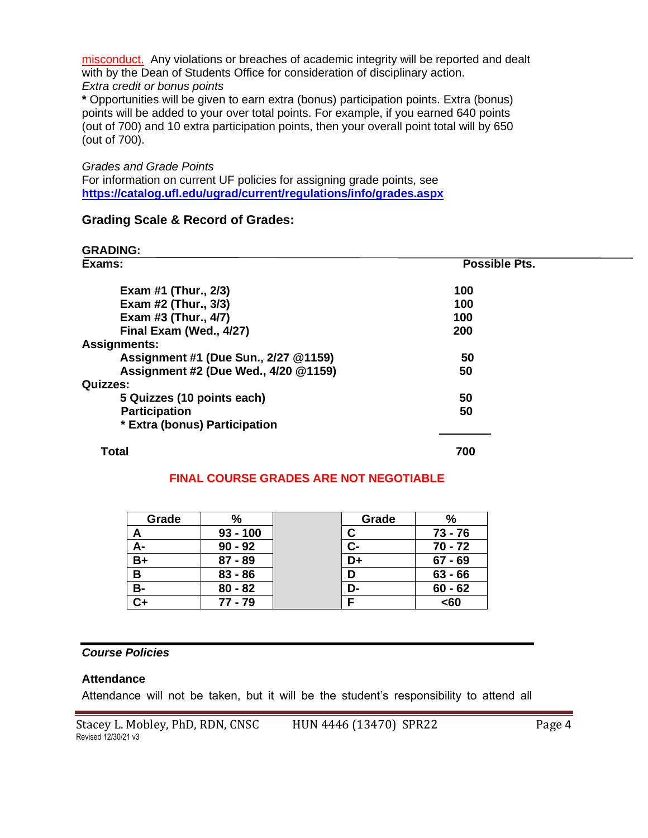misconduct. Any violations or breaches of academic integrity will be reported and dealt with by the Dean of Students Office for consideration of disciplinary action. *Extra credit or bonus points*

**\*** Opportunities will be given to earn extra (bonus) participation points. Extra (bonus) points will be added to your over total points. For example, if you earned 640 points (out of 700) and 10 extra participation points, then your overall point total will by 650 (out of 700).

#### *Grades and Grade Points*

For information on current UF policies for assigning grade points, see **<https://catalog.ufl.edu/ugrad/current/regulations/info/grades.aspx>**

#### **Grading Scale & Record of Grades:**

**GRADING:**

| Exams:                               | <b>Possible Pts.</b> |  |
|--------------------------------------|----------------------|--|
| Exam #1 (Thur., 2/3)                 | 100                  |  |
| Exam #2 (Thur., 3/3)                 | 100                  |  |
| Exam #3 (Thur., 4/7)                 | 100                  |  |
| Final Exam (Wed., 4/27)              | 200                  |  |
| <b>Assignments:</b>                  |                      |  |
| Assignment #1 (Due Sun., 2/27 @1159) | 50                   |  |
| Assignment #2 (Due Wed., 4/20 @1159) | 50                   |  |
| <b>Quizzes:</b>                      |                      |  |
| 5 Quizzes (10 points each)           | 50                   |  |
| <b>Participation</b>                 | 50                   |  |
| * Extra (bonus) Participation        |                      |  |
|                                      |                      |  |

#### **Total 700**

#### **FINAL COURSE GRADES ARE NOT NEGOTIABLE**

| Grade     | %          | Grade | %         |
|-----------|------------|-------|-----------|
| A         | $93 - 100$ |       | 73 - 76   |
| А-        | $90 - 92$  | С-    | $70 - 72$ |
| $B+$      | $87 - 89$  | D+    | $67 - 69$ |
| B         | $83 - 86$  | D     | $63 - 66$ |
| <b>B-</b> | $80 - 82$  | D-    | $60 - 62$ |
| $C+$      | $77 - 79$  |       | <60       |

## *Course Policies*

#### **Attendance**

Attendance will not be taken, but it will be the student's responsibility to attend all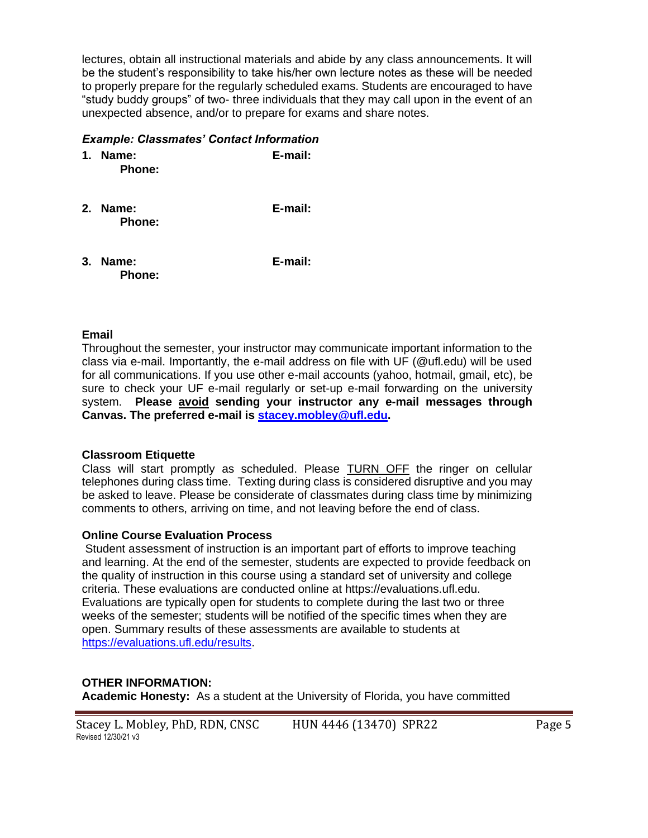lectures, obtain all instructional materials and abide by any class announcements. It will be the student's responsibility to take his/her own lecture notes as these will be needed to properly prepare for the regularly scheduled exams. Students are encouraged to have "study buddy groups" of two- three individuals that they may call upon in the event of an unexpected absence, and/or to prepare for exams and share notes.

## *Example: Classmates' Contact Information*

- **1. Name: E-mail: Phone:**
- **2. Name: E-mail: Phone:**
- **3. Name: E-mail: Phone:**

## **Email**

Throughout the semester, your instructor may communicate important information to the class via e-mail. Importantly, the e-mail address on file with UF (@ufl.edu) will be used for all communications. If you use other e-mail accounts (yahoo, hotmail, gmail, etc), be sure to check your UF e-mail regularly or set-up e-mail forwarding on the university system. **Please avoid sending your instructor any e-mail messages through Canvas. The preferred e-mail is [stacey.mobley@ufl.edu.](mailto:stacey.mobley@ufl.edu)**

#### **Classroom Etiquette**

Class will start promptly as scheduled. Please TURN OFF the ringer on cellular telephones during class time. Texting during class is considered disruptive and you may be asked to leave. Please be considerate of classmates during class time by minimizing comments to others, arriving on time, and not leaving before the end of class.

## **Online Course Evaluation Process**

Student assessment of instruction is an important part of efforts to improve teaching and learning. At the end of the semester, students are expected to provide feedback on the quality of instruction in this course using a standard set of university and college criteria. These evaluations are conducted online at https://evaluations.ufl.edu. Evaluations are typically open for students to complete during the last two or three weeks of the semester; students will be notified of the specific times when they are open. Summary results of these assessments are available to students at [https://evaluations.ufl.edu/results.](https://evaluations.ufl.edu/results)

## **OTHER INFORMATION:**

**Academic Honesty:** As a student at the University of Florida, you have committed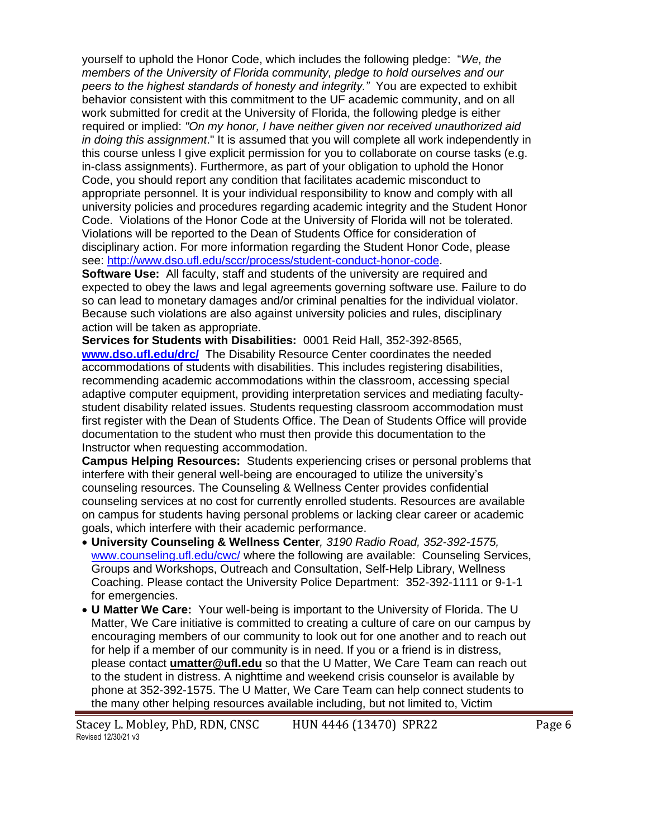yourself to uphold the Honor Code, which includes the following pledge: "*We, the members of the University of Florida community, pledge to hold ourselves and our peers to the highest standards of honesty and integrity."* You are expected to exhibit behavior consistent with this commitment to the UF academic community, and on all work submitted for credit at the University of Florida, the following pledge is either required or implied: *"On my honor, I have neither given nor received unauthorized aid in doing this assignment*." It is assumed that you will complete all work independently in this course unless I give explicit permission for you to collaborate on course tasks (e.g. in-class assignments). Furthermore, as part of your obligation to uphold the Honor Code, you should report any condition that facilitates academic misconduct to appropriate personnel. It is your individual responsibility to know and comply with all university policies and procedures regarding academic integrity and the Student Honor Code. Violations of the Honor Code at the University of Florida will not be tolerated. Violations will be reported to the Dean of Students Office for consideration of disciplinary action. For more information regarding the Student Honor Code, please see: [http://www.dso.ufl.edu/sccr/process/student-conduct-honor-code.](http://www.dso.ufl.edu/sccr/process/student-conduct-honor-code)

**Software Use:** All faculty, staff and students of the university are required and expected to obey the laws and legal agreements governing software use. Failure to do so can lead to monetary damages and/or criminal penalties for the individual violator. Because such violations are also against university policies and rules, disciplinary action will be taken as appropriate.

**Services for Students with Disabilities:** 0001 Reid Hall, 352-392-8565, **[www.dso.ufl.edu/drc/](http://www.dso.ufl.edu/drc/)** The Disability Resource Center coordinates the needed accommodations of students with disabilities. This includes registering disabilities, recommending academic accommodations within the classroom, accessing special adaptive computer equipment, providing interpretation services and mediating facultystudent disability related issues. Students requesting classroom accommodation must first register with the Dean of Students Office. The Dean of Students Office will provide documentation to the student who must then provide this documentation to the Instructor when requesting accommodation.

**Campus Helping Resources:** Students experiencing crises or personal problems that interfere with their general well-being are encouraged to utilize the university's counseling resources. The Counseling & Wellness Center provides confidential counseling services at no cost for currently enrolled students. Resources are available on campus for students having personal problems or lacking clear career or academic goals, which interfere with their academic performance.

- **University Counseling & Wellness Center***, 3190 Radio Road, 352-392-1575,* [www.counseling.ufl.edu/cwc/](http://www.counseling.ufl.edu/cwc/) where the following are available: Counseling Services, Groups and Workshops, Outreach and Consultation, Self-Help Library, Wellness Coaching. Please contact the University Police Department: 352-392-1111 or 9-1-1 for emergencies.
- **U Matter We Care:** Your well-being is important to the University of Florida. The U Matter, We Care initiative is committed to creating a culture of care on our campus by encouraging members of our community to look out for one another and to reach out for help if a member of our community is in need. If you or a friend is in distress, please contact **[umatter@ufl.edu](mailto:umatter@ufl.edu)** so that the U Matter, We Care Team can reach out to the student in distress. A nighttime and weekend crisis counselor is available by phone at 352-392-1575. The U Matter, We Care Team can help connect students to the many other helping resources available including, but not limited to, Victim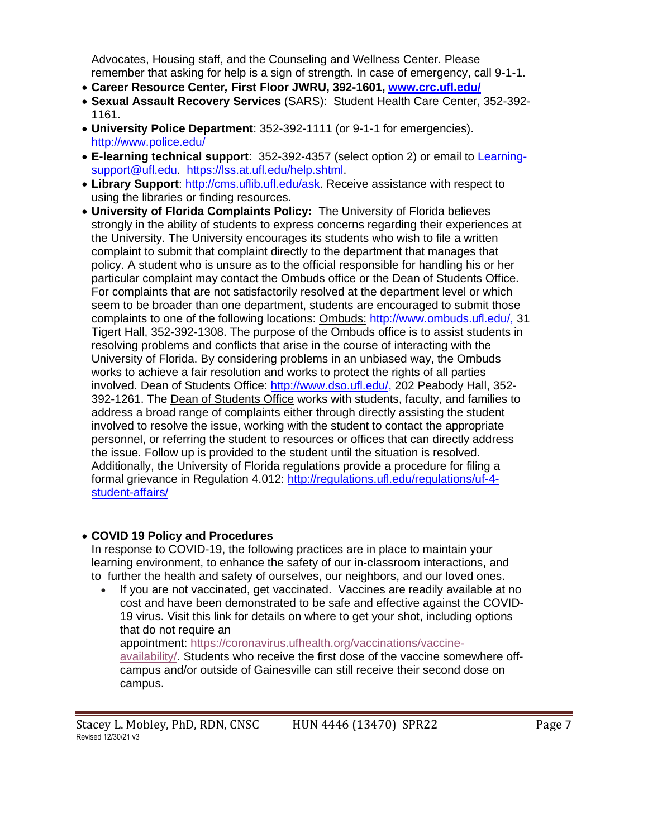Advocates, Housing staff, and the Counseling and Wellness Center. Please remember that asking for help is a sign of strength. In case of emergency, call 9-1-1.

- **Career Resource Center***,* **First Floor JWRU, 392-1601, [www.crc.ufl.edu/](http://www.crc.ufl.edu/)**
- **Sexual Assault Recovery Services** (SARS): Student Health Care Center, 352-392- 1161.
- **University Police Department**: 352-392-1111 (or 9-1-1 for emergencies). <http://www.police.edu/>
- **E-learning technical support**: 352-392-4357 (select option 2) or email to [Learning](mailto:Learning-support@ufl.edu)[support@ufl.edu.](mailto:Learning-support@ufl.edu) [https://lss.at.ufl.edu/help.shtml.](https://lss.at.ufl.edu/help.shtml)
- **Library Support**: [http://cms.uflib.ufl.edu/ask.](http://cms.uflib.ufl.edu/ask) Receive assistance with respect to using the libraries or finding resources.
- **University of Florida Complaints Policy:** The University of Florida believes strongly in the ability of students to express concerns regarding their experiences at the University. The University encourages its students who wish to file a written complaint to submit that complaint directly to the department that manages that policy. A student who is unsure as to the official responsible for handling his or her particular complaint may contact the Ombuds office or the Dean of Students Office. For complaints that are not satisfactorily resolved at the department level or which seem to be broader than one department, students are encouraged to submit those complaints to one of the following locations: Ombuds: http://www.ombuds.ufl.edu/, 31 Tigert Hall, 352-392-1308. The purpose of the Ombuds office is to assist students in resolving problems and conflicts that arise in the course of interacting with the University of Florida. By considering problems in an unbiased way, the Ombuds works to achieve a fair resolution and works to protect the rights of all parties involved. Dean of Students Office: [http://www.dso.ufl.edu/,](http://www.dso.ufl.edu/) 202 Peabody Hall, 352- 392-1261. The Dean of Students Office works with students, faculty, and families to address a broad range of complaints either through directly assisting the student involved to resolve the issue, working with the student to contact the appropriate personnel, or referring the student to resources or offices that can directly address the issue. Follow up is provided to the student until the situation is resolved. Additionally, the University of Florida regulations provide a procedure for filing a formal grievance in Regulation 4.012: [http://regulations.ufl.edu/regulations/uf-4](http://regulations.ufl.edu/regulations/uf-4-student-affairs/) [student-affairs/](http://regulations.ufl.edu/regulations/uf-4-student-affairs/)

#### • **COVID 19 Policy and Procedures**

In response to COVID-19, the following practices are in place to maintain your learning environment, to enhance the safety of our in-classroom interactions, and to further the health and safety of ourselves, our neighbors, and our loved ones.

• If you are not vaccinated, get vaccinated. Vaccines are readily available at no cost and have been demonstrated to be safe and effective against the COVID-19 virus. Visit this link for details on where to get your shot, including options that do not require an appointment: [https://coronavirus.ufhealth.org/vaccinations/vaccine](https://coronavirus.ufhealth.org/vaccinations/vaccine-availability/)[availability/.](https://coronavirus.ufhealth.org/vaccinations/vaccine-availability/) Students who receive the first dose of the vaccine somewhere offcampus and/or outside of Gainesville can still receive their second dose on campus.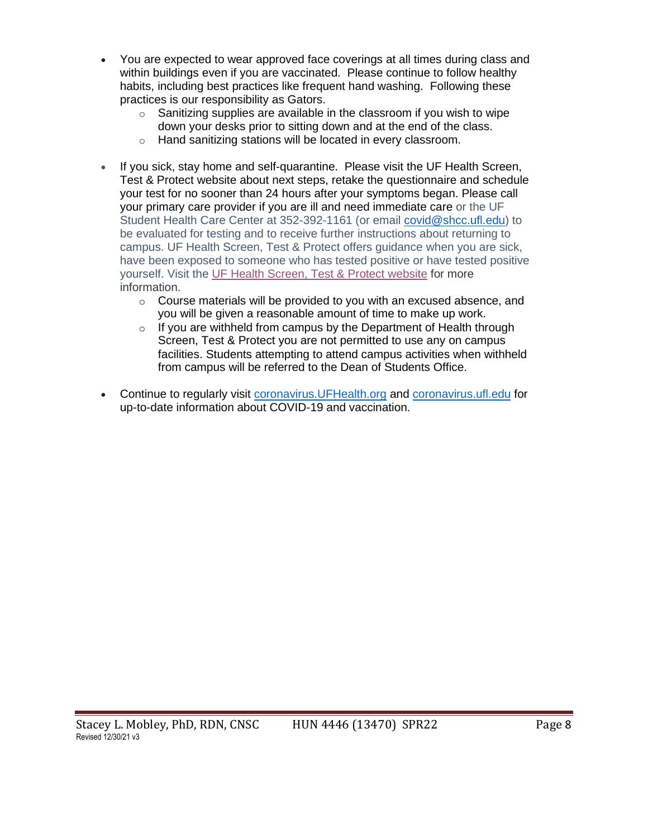- You are expected to wear approved face coverings at all times during class and within buildings even if you are vaccinated. Please continue to follow healthy habits, including best practices like frequent hand washing. Following these practices is our responsibility as Gators.
	- $\circ$  Sanitizing supplies are available in the classroom if you wish to wipe down your desks prior to sitting down and at the end of the class.
	- o Hand sanitizing stations will be located in every classroom.
- If you sick, stay home and self-quarantine. Please visit the UF Health Screen, Test & Protect website about next steps, retake the questionnaire and schedule your test for no sooner than 24 hours after your symptoms began. Please call your primary care provider if you are ill and need immediate care or the UF Student Health Care Center at 352-392-1161 (or email [covid@shcc.ufl.edu\)](mailto:covid@shcc.ufl.edu) to be evaluated for testing and to receive further instructions about returning to campus. UF Health Screen, Test & Protect offers guidance when you are sick, have been exposed to someone who has tested positive or have tested positive yourself. Visit the UF Health [Screen,](https://click.info.gator360.ufl.edu/?qs=8f0d5e01a3f7385148f144e2089093522a358a8d85cb9db73c31675d3c5e5c0d27748d40c212f544822551342f1912ea5b4f2b890d5952e8) Test & Protect website for more information.
	- $\circ$  Course materials will be provided to you with an excused absence, and you will be given a reasonable amount of time to make up work.
	- $\circ$  If you are withheld from campus by the Department of Health through Screen, Test & Protect you are not permitted to use any on campus facilities. Students attempting to attend campus activities when withheld from campus will be referred to the Dean of Students Office.
- Continue to regularly visit [coronavirus.UFHealth.org](http://coronavirus.ufhealth.org/) and [coronavirus.ufl.edu](http://coronavirus.ufl.edu/) for up-to-date information about COVID-19 and vaccination.